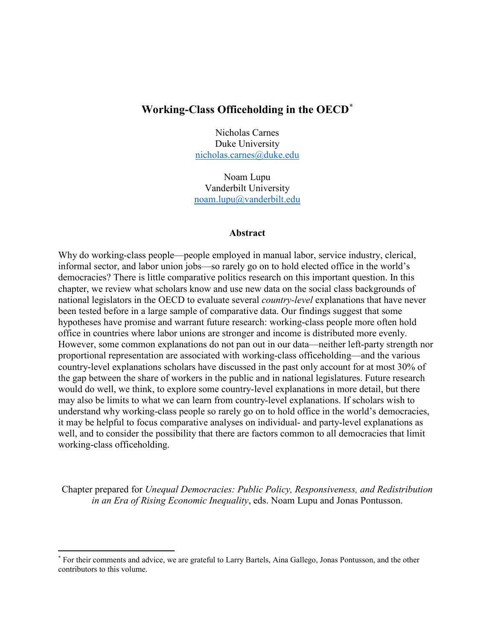# **Working-Class Officeholding in the OECD[\\*](#page-0-0)**

Nicholas Carnes Duke University [nicholas.carnes@duke.edu](mailto:nicholas.carnes@duke.edu)

Noam Lupu Vanderbilt University [noam.lupu@vanderbilt.edu](mailto:noam.lupu@vanderbilt.edu)

#### **Abstract**

Why do working-class people—people employed in manual labor, service industry, clerical, informal sector, and labor union jobs—so rarely go on to hold elected office in the world's democracies? There is little comparative politics research on this important question. In this chapter, we review what scholars know and use new data on the social class backgrounds of national legislators in the OECD to evaluate several *country-level* explanations that have never been tested before in a large sample of comparative data. Our findings suggest that some hypotheses have promise and warrant future research: working-class people more often hold office in countries where labor unions are stronger and income is distributed more evenly. However, some common explanations do not pan out in our data—neither left-party strength nor proportional representation are associated with working-class officeholding—and the various country-level explanations scholars have discussed in the past only account for at most 30% of the gap between the share of workers in the public and in national legislatures. Future research would do well, we think, to explore some country-level explanations in more detail, but there may also be limits to what we can learn from country-level explanations. If scholars wish to understand why working-class people so rarely go on to hold office in the world's democracies, it may be helpful to focus comparative analyses on individual- and party-level explanations as well, and to consider the possibility that there are factors common to all democracies that limit working-class officeholding.

Chapter prepared for *Unequal Democracies: Public Policy, Responsiveness, and Redistribution in an Era of Rising Economic Inequality*, eds. Noam Lupu and Jonas Pontusson.

 $\overline{a}$ 

<span id="page-0-0"></span><sup>\*</sup> For their comments and advice, we are grateful to Larry Bartels, Aina Gallego, Jonas Pontusson, and the other contributors to this volume.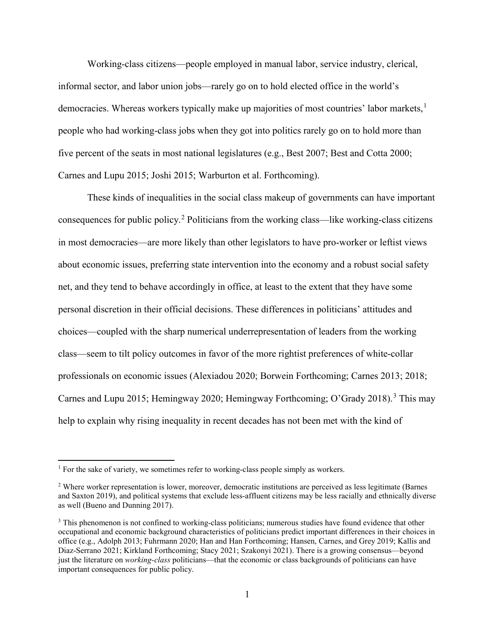Working-class citizens—people employed in manual labor, service industry, clerical, informal sector, and labor union jobs—rarely go on to hold elected office in the world's democracies. Whereas workers typically make up majorities of most countries' labor markets,<sup>[1](#page-1-0)</sup> people who had working-class jobs when they got into politics rarely go on to hold more than five percent of the seats in most national legislatures (e.g., Best 2007; Best and Cotta 2000; Carnes and Lupu 2015; Joshi 2015; Warburton et al. Forthcoming).

These kinds of inequalities in the social class makeup of governments can have important consequences for public policy.[2](#page-1-1) Politicians from the working class—like working-class citizens in most democracies—are more likely than other legislators to have pro-worker or leftist views about economic issues, preferring state intervention into the economy and a robust social safety net, and they tend to behave accordingly in office, at least to the extent that they have some personal discretion in their official decisions. These differences in politicians' attitudes and choices—coupled with the sharp numerical underrepresentation of leaders from the working class—seem to tilt policy outcomes in favor of the more rightist preferences of white-collar professionals on economic issues (Alexiadou 2020; Borwein Forthcoming; Carnes 2013; 2018; Carnes and Lupu 2015; Hemingway 2020; Hemingway Forthcoming; O'Grady 2018). [3](#page-1-2) This may help to explain why rising inequality in recent decades has not been met with the kind of

<span id="page-1-0"></span><sup>&</sup>lt;sup>1</sup> For the sake of variety, we sometimes refer to working-class people simply as workers.

<span id="page-1-1"></span><sup>2</sup> Where worker representation is lower, moreover, democratic institutions are perceived as less legitimate (Barnes and Saxton 2019), and political systems that exclude less-affluent citizens may be less racially and ethnically diverse as well (Bueno and Dunning 2017).

<span id="page-1-2"></span><sup>&</sup>lt;sup>3</sup> This phenomenon is not confined to working-class politicians; numerous studies have found evidence that other occupational and economic background characteristics of politicians predict important differences in their choices in office (e.g., Adolph 2013; Fuhrmann 2020; Han and Han Forthcoming; Hansen, Carnes, and Grey 2019; Kallis and Diaz-Serrano 2021; Kirkland Forthcoming; Stacy 2021; Szakonyi 2021). There is a growing consensus—beyond just the literature on *working-class* politicians—that the economic or class backgrounds of politicians can have important consequences for public policy.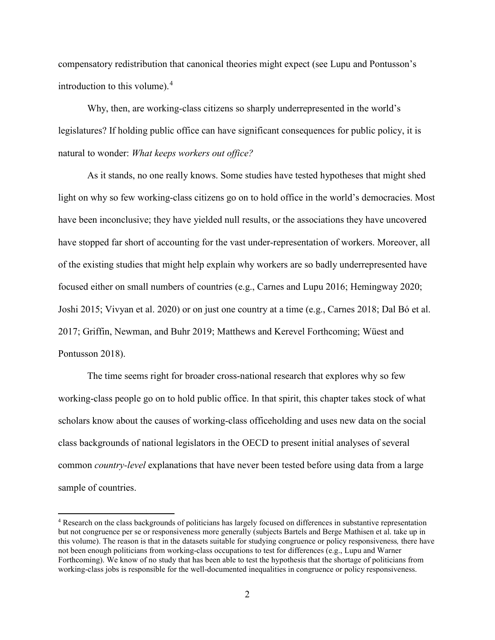compensatory redistribution that canonical theories might expect (see Lupu and Pontusson's introduction to this volume).[4](#page-2-0)

Why, then, are working-class citizens so sharply underrepresented in the world's legislatures? If holding public office can have significant consequences for public policy, it is natural to wonder: *What keeps workers out office?*

As it stands, no one really knows. Some studies have tested hypotheses that might shed light on why so few working-class citizens go on to hold office in the world's democracies. Most have been inconclusive; they have yielded null results, or the associations they have uncovered have stopped far short of accounting for the vast under-representation of workers. Moreover, all of the existing studies that might help explain why workers are so badly underrepresented have focused either on small numbers of countries (e.g., Carnes and Lupu 2016; Hemingway 2020; Joshi 2015; Vivyan et al. 2020) or on just one country at a time (e.g., Carnes 2018; Dal Bó et al. 2017; Griffin, Newman, and Buhr 2019; Matthews and Kerevel Forthcoming; Wüest and Pontusson 2018).

The time seems right for broader cross-national research that explores why so few working-class people go on to hold public office. In that spirit, this chapter takes stock of what scholars know about the causes of working-class officeholding and uses new data on the social class backgrounds of national legislators in the OECD to present initial analyses of several common *country-level* explanations that have never been tested before using data from a large sample of countries.

<span id="page-2-0"></span><sup>4</sup> Research on the class backgrounds of politicians has largely focused on differences in substantive representation but not congruence per se or responsiveness more generally (subjects Bartels and Berge Mathisen et al. take up in this volume). The reason is that in the datasets suitable for studying congruence or policy responsiveness*,* there have not been enough politicians from working-class occupations to test for differences (e.g., Lupu and Warner Forthcoming). We know of no study that has been able to test the hypothesis that the shortage of politicians from working-class jobs is responsible for the well-documented inequalities in congruence or policy responsiveness.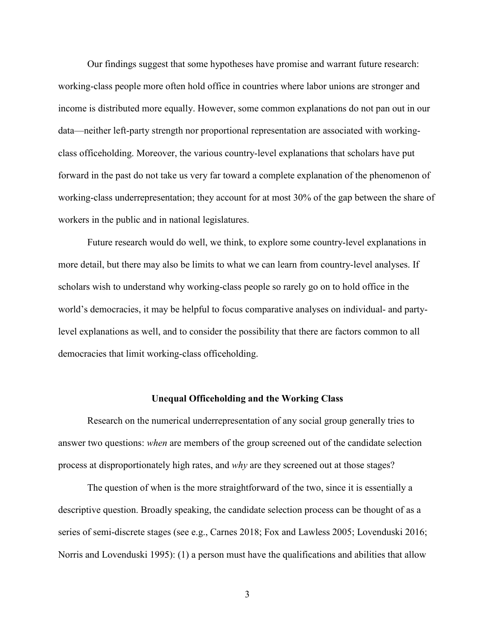Our findings suggest that some hypotheses have promise and warrant future research: working-class people more often hold office in countries where labor unions are stronger and income is distributed more equally. However, some common explanations do not pan out in our data—neither left-party strength nor proportional representation are associated with workingclass officeholding. Moreover, the various country-level explanations that scholars have put forward in the past do not take us very far toward a complete explanation of the phenomenon of working-class underrepresentation; they account for at most 30% of the gap between the share of workers in the public and in national legislatures.

Future research would do well, we think, to explore some country-level explanations in more detail, but there may also be limits to what we can learn from country-level analyses. If scholars wish to understand why working-class people so rarely go on to hold office in the world's democracies, it may be helpful to focus comparative analyses on individual- and partylevel explanations as well, and to consider the possibility that there are factors common to all democracies that limit working-class officeholding.

### **Unequal Officeholding and the Working Class**

Research on the numerical underrepresentation of any social group generally tries to answer two questions: *when* are members of the group screened out of the candidate selection process at disproportionately high rates, and *why* are they screened out at those stages?

The question of when is the more straightforward of the two, since it is essentially a descriptive question. Broadly speaking, the candidate selection process can be thought of as a series of semi-discrete stages (see e.g., Carnes 2018; Fox and Lawless 2005; Lovenduski 2016; Norris and Lovenduski 1995): (1) a person must have the qualifications and abilities that allow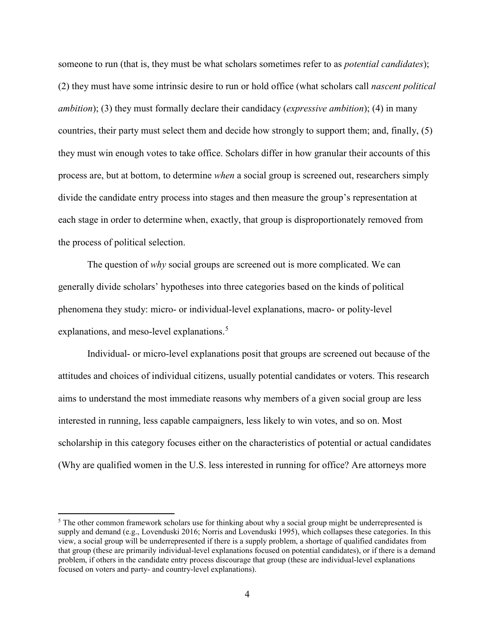someone to run (that is, they must be what scholars sometimes refer to as *potential candidates*); (2) they must have some intrinsic desire to run or hold office (what scholars call *nascent political ambition*); (3) they must formally declare their candidacy (*expressive ambition*); (4) in many countries, their party must select them and decide how strongly to support them; and, finally, (5) they must win enough votes to take office. Scholars differ in how granular their accounts of this process are, but at bottom, to determine *when* a social group is screened out, researchers simply divide the candidate entry process into stages and then measure the group's representation at each stage in order to determine when, exactly, that group is disproportionately removed from the process of political selection.

The question of *why* social groups are screened out is more complicated. We can generally divide scholars' hypotheses into three categories based on the kinds of political phenomena they study: micro- or individual-level explanations, macro- or polity-level explanations, and meso-level explanations. [5](#page-4-0)

Individual- or micro-level explanations posit that groups are screened out because of the attitudes and choices of individual citizens, usually potential candidates or voters. This research aims to understand the most immediate reasons why members of a given social group are less interested in running, less capable campaigners, less likely to win votes, and so on. Most scholarship in this category focuses either on the characteristics of potential or actual candidates (Why are qualified women in the U.S. less interested in running for office? Are attorneys more

<span id="page-4-0"></span><sup>&</sup>lt;sup>5</sup> The other common framework scholars use for thinking about why a social group might be underrepresented is supply and demand (e.g., Lovenduski 2016; Norris and Lovenduski 1995), which collapses these categories. In this view, a social group will be underrepresented if there is a supply problem, a shortage of qualified candidates from that group (these are primarily individual-level explanations focused on potential candidates), or if there is a demand problem, if others in the candidate entry process discourage that group (these are individual-level explanations focused on voters and party- and country-level explanations).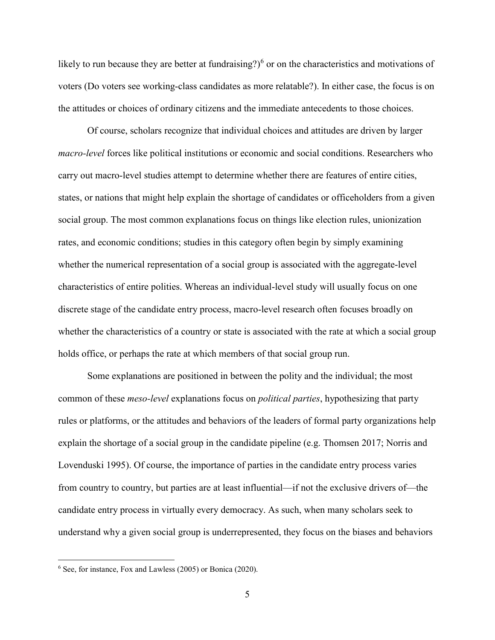likely to run because they are better at fundraising?)<sup>[6](#page-5-0)</sup> or on the characteristics and motivations of voters (Do voters see working-class candidates as more relatable?). In either case, the focus is on the attitudes or choices of ordinary citizens and the immediate antecedents to those choices.

Of course, scholars recognize that individual choices and attitudes are driven by larger *macro-level* forces like political institutions or economic and social conditions. Researchers who carry out macro-level studies attempt to determine whether there are features of entire cities, states, or nations that might help explain the shortage of candidates or officeholders from a given social group. The most common explanations focus on things like election rules, unionization rates, and economic conditions; studies in this category often begin by simply examining whether the numerical representation of a social group is associated with the aggregate-level characteristics of entire polities. Whereas an individual-level study will usually focus on one discrete stage of the candidate entry process, macro-level research often focuses broadly on whether the characteristics of a country or state is associated with the rate at which a social group holds office, or perhaps the rate at which members of that social group run.

Some explanations are positioned in between the polity and the individual; the most common of these *meso-level* explanations focus on *political parties*, hypothesizing that party rules or platforms, or the attitudes and behaviors of the leaders of formal party organizations help explain the shortage of a social group in the candidate pipeline (e.g. Thomsen 2017; Norris and Lovenduski 1995). Of course, the importance of parties in the candidate entry process varies from country to country, but parties are at least influential—if not the exclusive drivers of—the candidate entry process in virtually every democracy. As such, when many scholars seek to understand why a given social group is underrepresented, they focus on the biases and behaviors

 $\overline{\phantom{a}}$ 

<span id="page-5-0"></span><sup>6</sup> See, for instance, Fox and Lawless (2005) or Bonica (2020).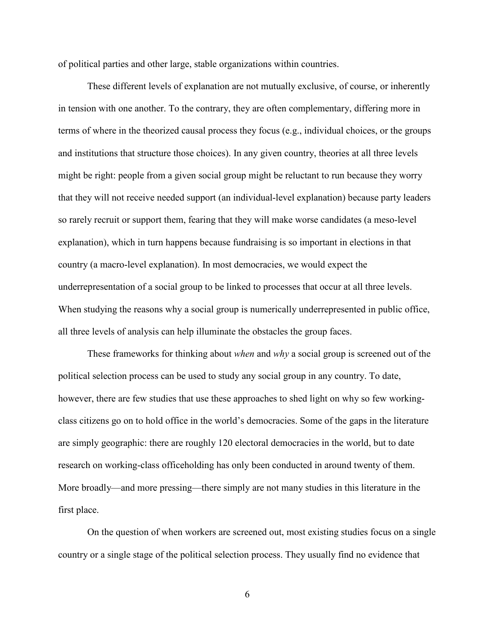of political parties and other large, stable organizations within countries.

These different levels of explanation are not mutually exclusive, of course, or inherently in tension with one another. To the contrary, they are often complementary, differing more in terms of where in the theorized causal process they focus (e.g., individual choices, or the groups and institutions that structure those choices). In any given country, theories at all three levels might be right: people from a given social group might be reluctant to run because they worry that they will not receive needed support (an individual-level explanation) because party leaders so rarely recruit or support them, fearing that they will make worse candidates (a meso-level explanation), which in turn happens because fundraising is so important in elections in that country (a macro-level explanation). In most democracies, we would expect the underrepresentation of a social group to be linked to processes that occur at all three levels. When studying the reasons why a social group is numerically underrepresented in public office, all three levels of analysis can help illuminate the obstacles the group faces.

These frameworks for thinking about *when* and *why* a social group is screened out of the political selection process can be used to study any social group in any country. To date, however, there are few studies that use these approaches to shed light on why so few workingclass citizens go on to hold office in the world's democracies. Some of the gaps in the literature are simply geographic: there are roughly 120 electoral democracies in the world, but to date research on working-class officeholding has only been conducted in around twenty of them. More broadly—and more pressing—there simply are not many studies in this literature in the first place.

On the question of when workers are screened out, most existing studies focus on a single country or a single stage of the political selection process. They usually find no evidence that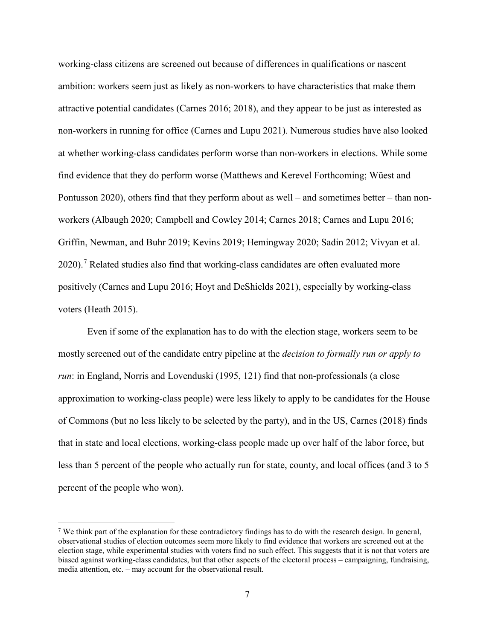working-class citizens are screened out because of differences in qualifications or nascent ambition: workers seem just as likely as non-workers to have characteristics that make them attractive potential candidates (Carnes 2016; 2018), and they appear to be just as interested as non-workers in running for office (Carnes and Lupu 2021). Numerous studies have also looked at whether working-class candidates perform worse than non-workers in elections. While some find evidence that they do perform worse (Matthews and Kerevel Forthcoming; Wüest and Pontusson 2020), others find that they perform about as well – and sometimes better – than nonworkers (Albaugh 2020; Campbell and Cowley 2014; Carnes 2018; Carnes and Lupu 2016; Griffin, Newman, and Buhr 2019; Kevins 2019; Hemingway 2020; Sadin 2012; Vivyan et al.  $2020$ ).<sup>[7](#page-7-0)</sup> Related studies also find that working-class candidates are often evaluated more positively (Carnes and Lupu 2016; Hoyt and DeShields 2021), especially by working-class voters (Heath 2015).

Even if some of the explanation has to do with the election stage, workers seem to be mostly screened out of the candidate entry pipeline at the *decision to formally run or apply to run*: in England, Norris and Lovenduski (1995, 121) find that non-professionals (a close approximation to working-class people) were less likely to apply to be candidates for the House of Commons (but no less likely to be selected by the party), and in the US, Carnes (2018) finds that in state and local elections, working-class people made up over half of the labor force, but less than 5 percent of the people who actually run for state, county, and local offices (and 3 to 5 percent of the people who won).

<span id="page-7-0"></span><sup>7</sup> We think part of the explanation for these contradictory findings has to do with the research design. In general, observational studies of election outcomes seem more likely to find evidence that workers are screened out at the election stage, while experimental studies with voters find no such effect. This suggests that it is not that voters are biased against working-class candidates, but that other aspects of the electoral process – campaigning, fundraising, media attention, etc. – may account for the observational result.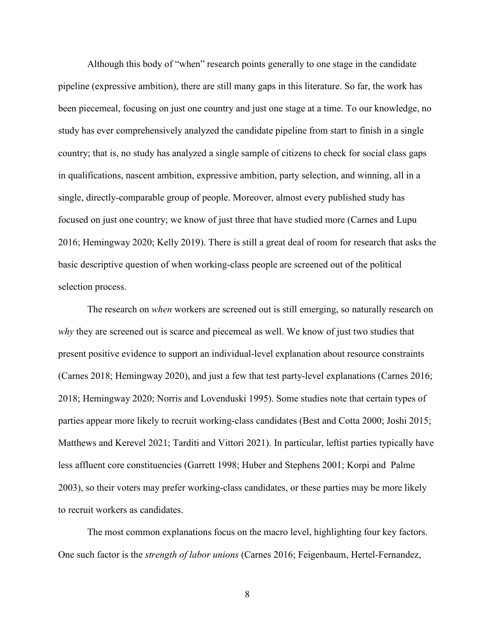Although this body of "when" research points generally to one stage in the candidate pipeline (expressive ambition), there are still many gaps in this literature. So far, the work has been piecemeal, focusing on just one country and just one stage at a time. To our knowledge, no study has ever comprehensively analyzed the candidate pipeline from start to finish in a single country; that is, no study has analyzed a single sample of citizens to check for social class gaps in qualifications, nascent ambition, expressive ambition, party selection, and winning, all in a single, directly-comparable group of people. Moreover, almost every published study has focused on just one country; we know of just three that have studied more (Carnes and Lupu 2016; Hemingway 2020; Kelly 2019). There is still a great deal of room for research that asks the basic descriptive question of when working-class people are screened out of the political selection process.

The research on *when* workers are screened out is still emerging, so naturally research on *why* they are screened out is scarce and piecemeal as well. We know of just two studies that present positive evidence to support an individual-level explanation about resource constraints (Carnes 2018; Hemingway 2020), and just a few that test party-level explanations (Carnes 2016; 2018; Hemingway 2020; Norris and Lovenduski 1995). Some studies note that certain types of parties appear more likely to recruit working-class candidates (Best and Cotta 2000; Joshi 2015; Matthews and Kerevel 2021; Tarditi and Vittori 2021). In particular, leftist parties typically have less affluent core constituencies (Garrett 1998; Huber and Stephens 2001; Korpi and Palme 2003), so their voters may prefer working-class candidates, or these parties may be more likely to recruit workers as candidates.

The most common explanations focus on the macro level, highlighting four key factors. One such factor is the *strength of labor unions* (Carnes 2016; Feigenbaum, Hertel-Fernandez,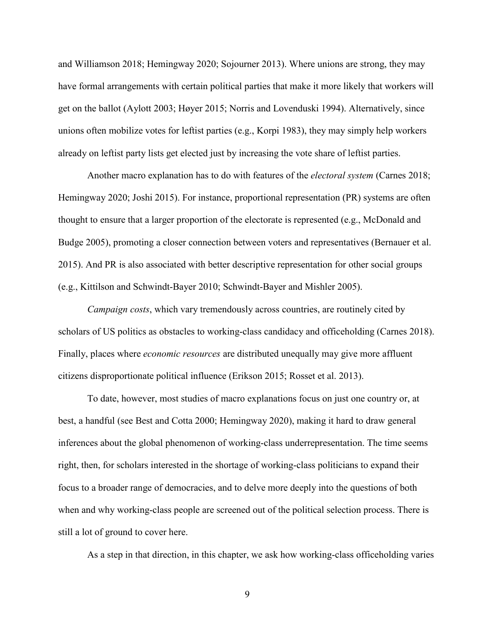and Williamson 2018; Hemingway 2020; Sojourner 2013). Where unions are strong, they may have formal arrangements with certain political parties that make it more likely that workers will get on the ballot (Aylott 2003; Høyer 2015; Norris and Lovenduski 1994). Alternatively, since unions often mobilize votes for leftist parties (e.g., Korpi 1983), they may simply help workers already on leftist party lists get elected just by increasing the vote share of leftist parties.

Another macro explanation has to do with features of the *electoral system* (Carnes 2018; Hemingway 2020; Joshi 2015). For instance, proportional representation (PR) systems are often thought to ensure that a larger proportion of the electorate is represented (e.g., McDonald and Budge 2005), promoting a closer connection between voters and representatives (Bernauer et al. 2015). And PR is also associated with better descriptive representation for other social groups (e.g., Kittilson and Schwindt-Bayer 2010; Schwindt-Bayer and Mishler 2005).

*Campaign costs*, which vary tremendously across countries, are routinely cited by scholars of US politics as obstacles to working-class candidacy and officeholding (Carnes 2018). Finally, places where *economic resources* are distributed unequally may give more affluent citizens disproportionate political influence (Erikson 2015; Rosset et al. 2013).

To date, however, most studies of macro explanations focus on just one country or, at best, a handful (see Best and Cotta 2000; Hemingway 2020), making it hard to draw general inferences about the global phenomenon of working-class underrepresentation. The time seems right, then, for scholars interested in the shortage of working-class politicians to expand their focus to a broader range of democracies, and to delve more deeply into the questions of both when and why working-class people are screened out of the political selection process. There is still a lot of ground to cover here.

As a step in that direction, in this chapter, we ask how working-class officeholding varies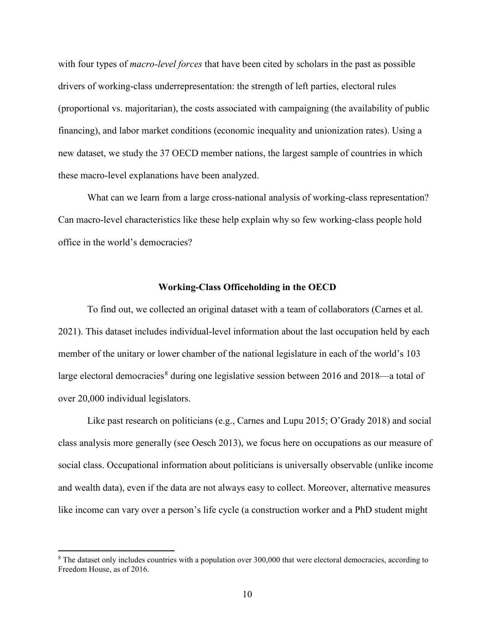with four types of *macro-level forces* that have been cited by scholars in the past as possible drivers of working-class underrepresentation: the strength of left parties, electoral rules (proportional vs. majoritarian), the costs associated with campaigning (the availability of public financing), and labor market conditions (economic inequality and unionization rates). Using a new dataset, we study the 37 OECD member nations, the largest sample of countries in which these macro-level explanations have been analyzed.

What can we learn from a large cross-national analysis of working-class representation? Can macro-level characteristics like these help explain why so few working-class people hold office in the world's democracies?

#### **Working-Class Officeholding in the OECD**

To find out, we collected an original dataset with a team of collaborators (Carnes et al. 2021). This dataset includes individual-level information about the last occupation held by each member of the unitary or lower chamber of the national legislature in each of the world's 103 large electoral democracies<sup>[8](#page-10-0)</sup> during one legislative session between 2016 and 2018—a total of over 20,000 individual legislators.

Like past research on politicians (e.g., Carnes and Lupu 2015; O'Grady 2018) and social class analysis more generally (see Oesch 2013), we focus here on occupations as our measure of social class. Occupational information about politicians is universally observable (unlike income and wealth data), even if the data are not always easy to collect. Moreover, alternative measures like income can vary over a person's life cycle (a construction worker and a PhD student might

 $\overline{a}$ 

<span id="page-10-0"></span><sup>&</sup>lt;sup>8</sup> The dataset only includes countries with a population over 300,000 that were electoral democracies, according to Freedom House, as of 2016.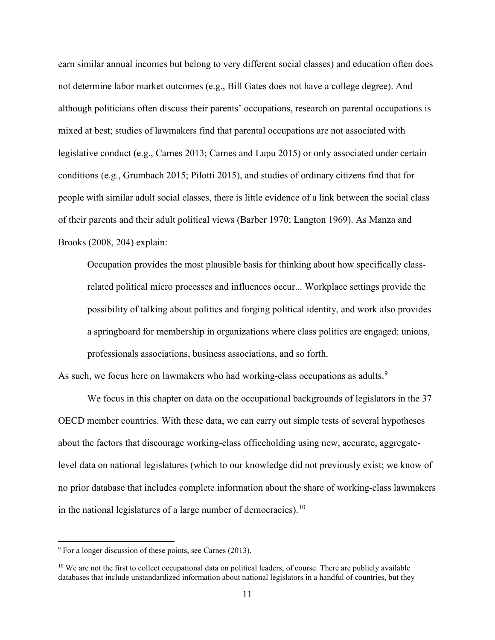earn similar annual incomes but belong to very different social classes) and education often does not determine labor market outcomes (e.g., Bill Gates does not have a college degree). And although politicians often discuss their parents' occupations, research on parental occupations is mixed at best; studies of lawmakers find that parental occupations are not associated with legislative conduct (e.g., Carnes 2013; Carnes and Lupu 2015) or only associated under certain conditions (e.g., Grumbach 2015; Pilotti 2015), and studies of ordinary citizens find that for people with similar adult social classes, there is little evidence of a link between the social class of their parents and their adult political views (Barber 1970; Langton 1969). As Manza and Brooks (2008, 204) explain:

Occupation provides the most plausible basis for thinking about how specifically classrelated political micro processes and influences occur... Workplace settings provide the possibility of talking about politics and forging political identity, and work also provides a springboard for membership in organizations where class politics are engaged: unions, professionals associations, business associations, and so forth.

As such, we focus here on lawmakers who had working-class occupations as adults.<sup>[9](#page-11-0)</sup>

We focus in this chapter on data on the occupational backgrounds of legislators in the 37 OECD member countries. With these data, we can carry out simple tests of several hypotheses about the factors that discourage working-class officeholding using new, accurate, aggregatelevel data on national legislatures (which to our knowledge did not previously exist; we know of no prior database that includes complete information about the share of working-class lawmakers in the national legislatures of a large number of democracies).<sup>[10](#page-11-1)</sup>

<span id="page-11-0"></span> $9$  For a longer discussion of these points, see Carnes (2013).

<span id="page-11-1"></span> $10$  We are not the first to collect occupational data on political leaders, of course. There are publicly available databases that include unstandardized information about national legislators in a handful of countries, but they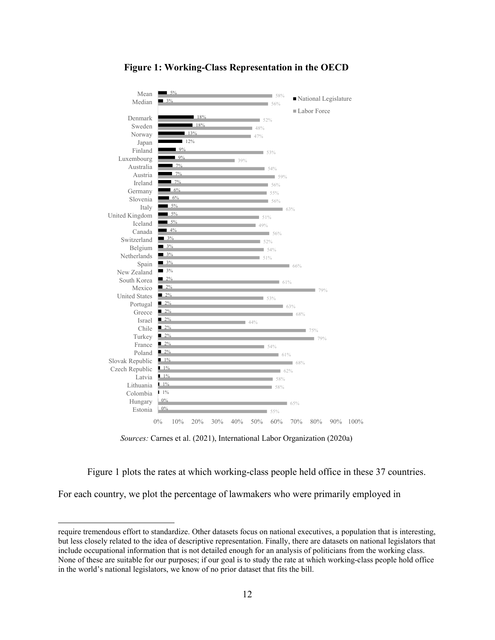

## **Figure 1: Working-Class Representation in the OECD**

*Sources:* Carnes et al. (2021), International Labor Organization (2020a)

Figure 1 plots the rates at which working-class people held office in these 37 countries.

For each country, we plot the percentage of lawmakers who were primarily employed in

require tremendous effort to standardize. Other datasets focus on national executives, a population that is interesting, but less closely related to the idea of descriptive representation. Finally, there are datasets on national legislators that include occupational information that is not detailed enough for an analysis of politicians from the working class. None of these are suitable for our purposes; if our goal is to study the rate at which working-class people hold office in the world's national legislators, we know of no prior dataset that fits the bill.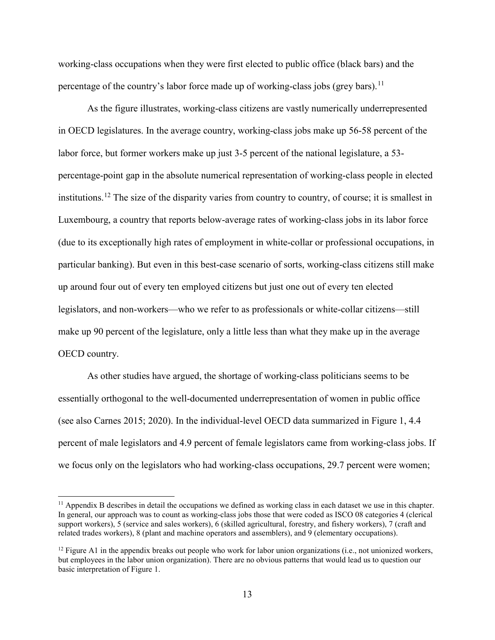working-class occupations when they were first elected to public office (black bars) and the percentage of the country's labor force made up of working-class jobs (grey bars).<sup>[11](#page-13-0)</sup>

As the figure illustrates, working-class citizens are vastly numerically underrepresented in OECD legislatures. In the average country, working-class jobs make up 56-58 percent of the labor force, but former workers make up just 3-5 percent of the national legislature, a 53 percentage-point gap in the absolute numerical representation of working-class people in elected institutions.[12](#page-13-1) The size of the disparity varies from country to country, of course; it is smallest in Luxembourg, a country that reports below-average rates of working-class jobs in its labor force (due to its exceptionally high rates of employment in white-collar or professional occupations, in particular banking). But even in this best-case scenario of sorts, working-class citizens still make up around four out of every ten employed citizens but just one out of every ten elected legislators, and non-workers—who we refer to as professionals or white-collar citizens—still make up 90 percent of the legislature, only a little less than what they make up in the average OECD country.

As other studies have argued, the shortage of working-class politicians seems to be essentially orthogonal to the well-documented underrepresentation of women in public office (see also Carnes 2015; 2020). In the individual-level OECD data summarized in Figure 1, 4.4 percent of male legislators and 4.9 percent of female legislators came from working-class jobs. If we focus only on the legislators who had working-class occupations, 29.7 percent were women;

<span id="page-13-0"></span> $11$  Appendix B describes in detail the occupations we defined as working class in each dataset we use in this chapter. In general, our approach was to count as working-class jobs those that were coded as ISCO 08 categories 4 (clerical support workers), 5 (service and sales workers), 6 (skilled agricultural, forestry, and fishery workers), 7 (craft and related trades workers), 8 (plant and machine operators and assemblers), and 9 (elementary occupations).

<span id="page-13-1"></span> $12$  Figure A1 in the appendix breaks out people who work for labor union organizations (i.e., not unionized workers, but employees in the labor union organization). There are no obvious patterns that would lead us to question our basic interpretation of Figure 1.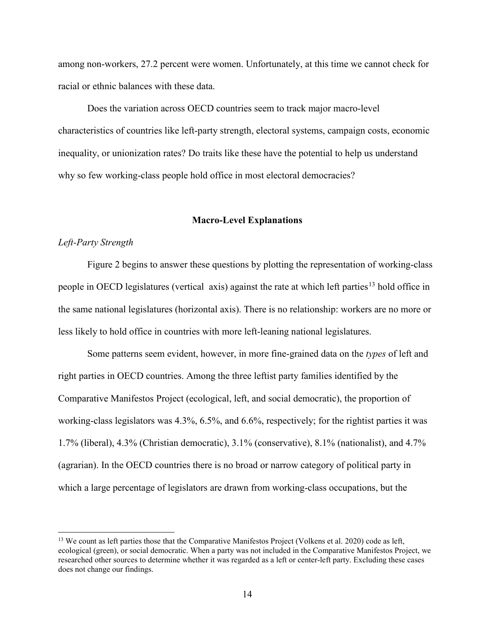among non-workers, 27.2 percent were women. Unfortunately, at this time we cannot check for racial or ethnic balances with these data.

Does the variation across OECD countries seem to track major macro-level characteristics of countries like left-party strength, electoral systems, campaign costs, economic inequality, or unionization rates? Do traits like these have the potential to help us understand why so few working-class people hold office in most electoral democracies?

#### **Macro-Level Explanations**

### *Left-Party Strength*

l

Figure 2 begins to answer these questions by plotting the representation of working-class people in OECD legislatures (vertical axis) against the rate at which left parties<sup>[13](#page-14-0)</sup> hold office in the same national legislatures (horizontal axis). There is no relationship: workers are no more or less likely to hold office in countries with more left-leaning national legislatures.

Some patterns seem evident, however, in more fine-grained data on the *types* of left and right parties in OECD countries. Among the three leftist party families identified by the Comparative Manifestos Project (ecological, left, and social democratic), the proportion of working-class legislators was 4.3%, 6.5%, and 6.6%, respectively; for the rightist parties it was 1.7% (liberal), 4.3% (Christian democratic), 3.1% (conservative), 8.1% (nationalist), and 4.7% (agrarian). In the OECD countries there is no broad or narrow category of political party in which a large percentage of legislators are drawn from working-class occupations, but the

<span id="page-14-0"></span><sup>&</sup>lt;sup>13</sup> We count as left parties those that the Comparative Manifestos Project (Volkens et al. 2020) code as left, ecological (green), or social democratic. When a party was not included in the Comparative Manifestos Project, we researched other sources to determine whether it was regarded as a left or center-left party. Excluding these cases does not change our findings.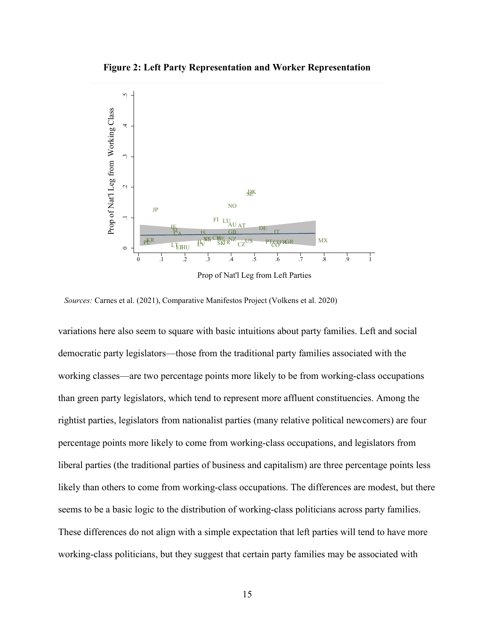**Figure 2: Left Party Representation and Worker Representation** 



*Sources:* Carnes et al. (2021), Comparative Manifestos Project (Volkens et al. 2020)

variations here also seem to square with basic intuitions about party families. Left and social democratic party legislators—those from the traditional party families associated with the working classes—are two percentage points more likely to be from working-class occupations than green party legislators, which tend to represent more affluent constituencies. Among the rightist parties, legislators from nationalist parties (many relative political newcomers) are four percentage points more likely to come from working-class occupations, and legislators from liberal parties (the traditional parties of business and capitalism) are three percentage points less likely than others to come from working-class occupations. The differences are modest, but there seems to be a basic logic to the distribution of working-class politicians across party families. These differences do not align with a simple expectation that left parties will tend to have more working-class politicians, but they suggest that certain party families may be associated with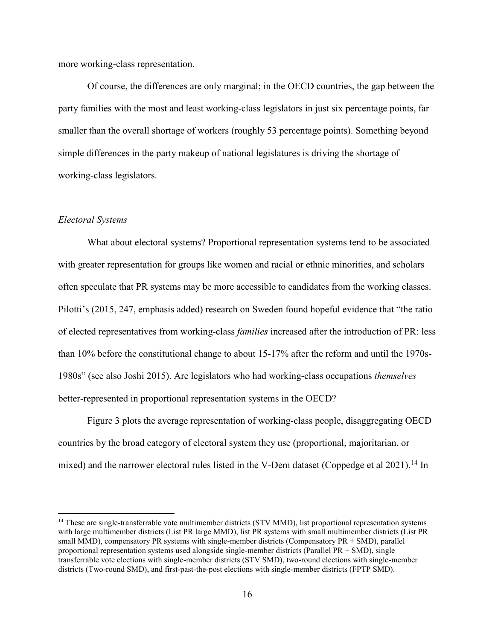more working-class representation.

Of course, the differences are only marginal; in the OECD countries, the gap between the party families with the most and least working-class legislators in just six percentage points, far smaller than the overall shortage of workers (roughly 53 percentage points). Something beyond simple differences in the party makeup of national legislatures is driving the shortage of working-class legislators.

### *Electoral Systems*

l

What about electoral systems? Proportional representation systems tend to be associated with greater representation for groups like women and racial or ethnic minorities, and scholars often speculate that PR systems may be more accessible to candidates from the working classes. Pilotti's (2015, 247, emphasis added) research on Sweden found hopeful evidence that "the ratio of elected representatives from working-class *families* increased after the introduction of PR: less than 10% before the constitutional change to about 15-17% after the reform and until the 1970s-1980s" (see also Joshi 2015). Are legislators who had working-class occupations *themselves* better-represented in proportional representation systems in the OECD?

Figure 3 plots the average representation of working-class people, disaggregating OECD countries by the broad category of electoral system they use (proportional, majoritarian, or mixed) and the narrower electoral rules listed in the V-Dem dataset (Coppedge et al 2021).<sup>[14](#page-16-0)</sup> In

<span id="page-16-0"></span> $14$  These are single-transferrable vote multimember districts (STV MMD), list proportional representation systems with large multimember districts (List PR large MMD), list PR systems with small multimember districts (List PR small MMD), compensatory PR systems with single-member districts (Compensatory PR + SMD), parallel proportional representation systems used alongside single-member districts (Parallel PR + SMD), single transferrable vote elections with single-member districts (STV SMD), two-round elections with single-member districts (Two-round SMD), and first-past-the-post elections with single-member districts (FPTP SMD).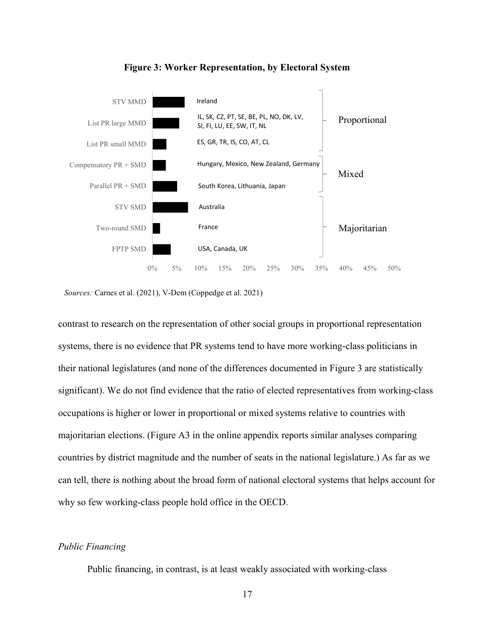

**Figure 3: Worker Representation, by Electoral System**

*Sources:* Carnes et al. (2021), V-Dem (Coppedge et al. 2021)

contrast to research on the representation of other social groups in proportional representation systems, there is no evidence that PR systems tend to have more working-class politicians in their national legislatures (and none of the differences documented in Figure 3 are statistically significant). We do not find evidence that the ratio of elected representatives from working-class occupations is higher or lower in proportional or mixed systems relative to countries with majoritarian elections. (Figure A3 in the online appendix reports similar analyses comparing countries by district magnitude and the number of seats in the national legislature.) As far as we can tell, there is nothing about the broad form of national electoral systems that helps account for why so few working-class people hold office in the OECD.

## *Public Financing*

Public financing, in contrast, is at least weakly associated with working-class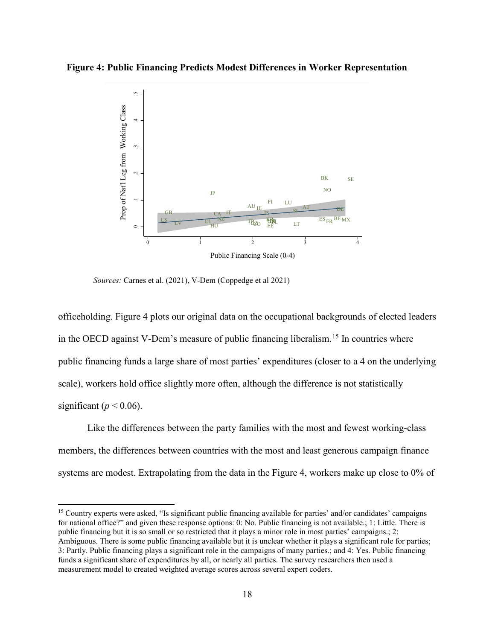## **Figure 4: Public Financing Predicts Modest Differences in Worker Representation**



*Sources:* Carnes et al. (2021), V-Dem (Coppedge et al 2021)

 $\overline{\phantom{a}}$ 

officeholding. Figure 4 plots our original data on the occupational backgrounds of elected leaders in the OECD against V-Dem's measure of public financing liberalism. [15](#page-18-0) In countries where public financing funds a large share of most parties' expenditures (closer to a 4 on the underlying scale), workers hold office slightly more often, although the difference is not statistically significant ( $p < 0.06$ ).

Like the differences between the party families with the most and fewest working-class members, the differences between countries with the most and least generous campaign finance systems are modest. Extrapolating from the data in the Figure 4, workers make up close to 0% of

<span id="page-18-0"></span><sup>15</sup> Country experts were asked, "Is significant public financing available for parties' and/or candidates' campaigns for national office?" and given these response options: 0: No. Public financing is not available.; 1: Little. There is public financing but it is so small or so restricted that it plays a minor role in most parties' campaigns.; 2: Ambiguous. There is some public financing available but it is unclear whether it plays a significant role for parties; 3: Partly. Public financing plays a significant role in the campaigns of many parties.; and 4: Yes. Public financing funds a significant share of expenditures by all, or nearly all parties. The survey researchers then used a measurement model to created weighted average scores across several expert coders.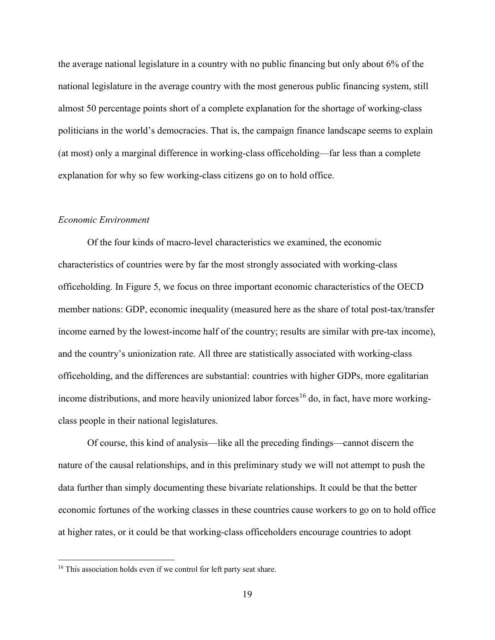the average national legislature in a country with no public financing but only about 6% of the national legislature in the average country with the most generous public financing system, still almost 50 percentage points short of a complete explanation for the shortage of working-class politicians in the world's democracies. That is, the campaign finance landscape seems to explain (at most) only a marginal difference in working-class officeholding—far less than a complete explanation for why so few working-class citizens go on to hold office.

### *Economic Environment*

Of the four kinds of macro-level characteristics we examined, the economic characteristics of countries were by far the most strongly associated with working-class officeholding. In Figure 5, we focus on three important economic characteristics of the OECD member nations: GDP, economic inequality (measured here as the share of total post-tax/transfer income earned by the lowest-income half of the country; results are similar with pre-tax income), and the country's unionization rate. All three are statistically associated with working-class officeholding, and the differences are substantial: countries with higher GDPs, more egalitarian income distributions, and more heavily unionized labor forces<sup>[16](#page-19-0)</sup> do, in fact, have more workingclass people in their national legislatures.

Of course, this kind of analysis—like all the preceding findings—cannot discern the nature of the causal relationships, and in this preliminary study we will not attempt to push the data further than simply documenting these bivariate relationships. It could be that the better economic fortunes of the working classes in these countries cause workers to go on to hold office at higher rates, or it could be that working-class officeholders encourage countries to adopt

 $\overline{\phantom{a}}$ 

<span id="page-19-0"></span><sup>&</sup>lt;sup>16</sup> This association holds even if we control for left party seat share.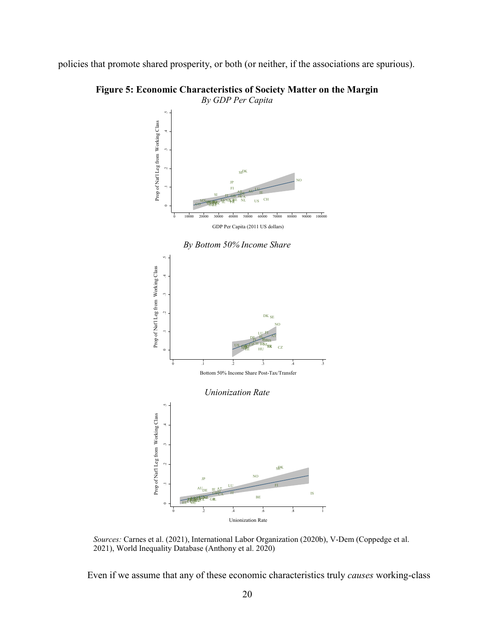policies that promote shared prosperity, or both (or neither, if the associations are spurious).



**Figure 5: Economic Characteristics of Society Matter on the Margin** 

*By GDP Per Capita*



*Sources:* Carnes et al. (2021), International Labor Organization (2020b), V-Dem (Coppedge et al. 2021), World Inequality Database (Anthony et al. 2020)

Even if we assume that any of these economic characteristics truly *causes* working-class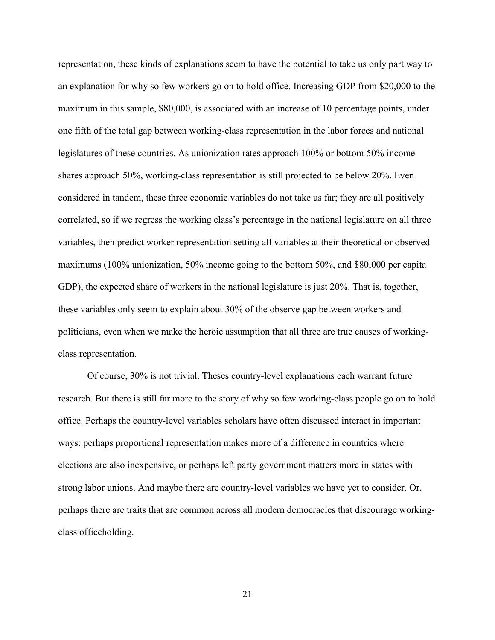representation, these kinds of explanations seem to have the potential to take us only part way to an explanation for why so few workers go on to hold office. Increasing GDP from \$20,000 to the maximum in this sample, \$80,000, is associated with an increase of 10 percentage points, under one fifth of the total gap between working-class representation in the labor forces and national legislatures of these countries. As unionization rates approach 100% or bottom 50% income shares approach 50%, working-class representation is still projected to be below 20%. Even considered in tandem, these three economic variables do not take us far; they are all positively correlated, so if we regress the working class's percentage in the national legislature on all three variables, then predict worker representation setting all variables at their theoretical or observed maximums (100% unionization, 50% income going to the bottom 50%, and \$80,000 per capita GDP), the expected share of workers in the national legislature is just 20%. That is, together, these variables only seem to explain about 30% of the observe gap between workers and politicians, even when we make the heroic assumption that all three are true causes of workingclass representation.

Of course, 30% is not trivial. Theses country-level explanations each warrant future research. But there is still far more to the story of why so few working-class people go on to hold office. Perhaps the country-level variables scholars have often discussed interact in important ways: perhaps proportional representation makes more of a difference in countries where elections are also inexpensive, or perhaps left party government matters more in states with strong labor unions. And maybe there are country-level variables we have yet to consider. Or, perhaps there are traits that are common across all modern democracies that discourage workingclass officeholding.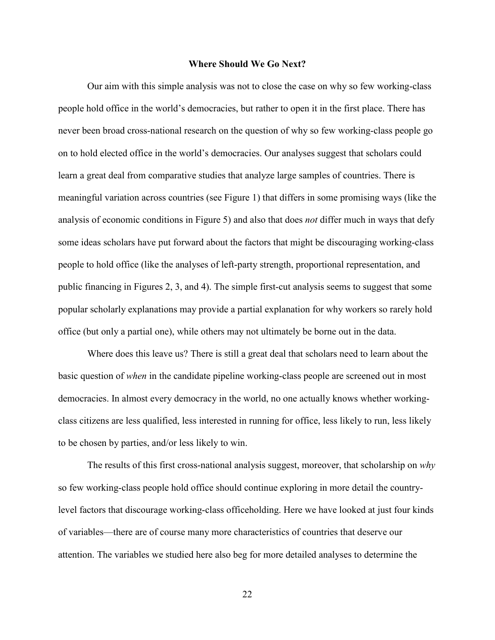#### **Where Should We Go Next?**

Our aim with this simple analysis was not to close the case on why so few working-class people hold office in the world's democracies, but rather to open it in the first place. There has never been broad cross-national research on the question of why so few working-class people go on to hold elected office in the world's democracies. Our analyses suggest that scholars could learn a great deal from comparative studies that analyze large samples of countries. There is meaningful variation across countries (see Figure 1) that differs in some promising ways (like the analysis of economic conditions in Figure 5) and also that does *not* differ much in ways that defy some ideas scholars have put forward about the factors that might be discouraging working-class people to hold office (like the analyses of left-party strength, proportional representation, and public financing in Figures 2, 3, and 4). The simple first-cut analysis seems to suggest that some popular scholarly explanations may provide a partial explanation for why workers so rarely hold office (but only a partial one), while others may not ultimately be borne out in the data.

Where does this leave us? There is still a great deal that scholars need to learn about the basic question of *when* in the candidate pipeline working-class people are screened out in most democracies. In almost every democracy in the world, no one actually knows whether workingclass citizens are less qualified, less interested in running for office, less likely to run, less likely to be chosen by parties, and/or less likely to win.

The results of this first cross-national analysis suggest, moreover, that scholarship on *why*  so few working-class people hold office should continue exploring in more detail the countrylevel factors that discourage working-class officeholding. Here we have looked at just four kinds of variables—there are of course many more characteristics of countries that deserve our attention. The variables we studied here also beg for more detailed analyses to determine the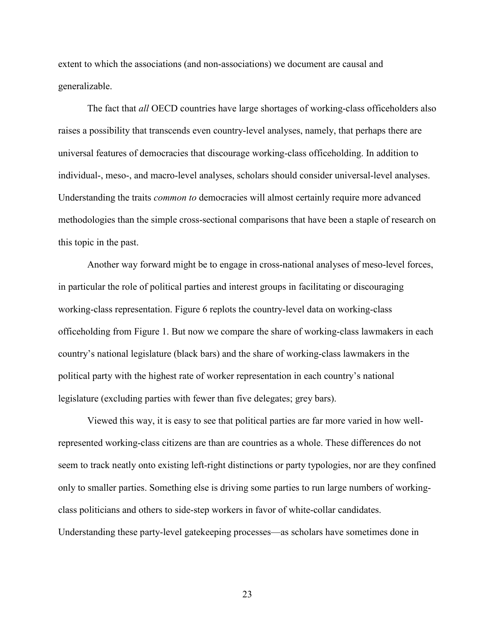extent to which the associations (and non-associations) we document are causal and generalizable.

The fact that *all* OECD countries have large shortages of working-class officeholders also raises a possibility that transcends even country-level analyses, namely, that perhaps there are universal features of democracies that discourage working-class officeholding. In addition to individual-, meso-, and macro-level analyses, scholars should consider universal-level analyses. Understanding the traits *common to* democracies will almost certainly require more advanced methodologies than the simple cross-sectional comparisons that have been a staple of research on this topic in the past.

Another way forward might be to engage in cross-national analyses of meso-level forces, in particular the role of political parties and interest groups in facilitating or discouraging working-class representation. Figure 6 replots the country-level data on working-class officeholding from Figure 1. But now we compare the share of working-class lawmakers in each country's national legislature (black bars) and the share of working-class lawmakers in the political party with the highest rate of worker representation in each country's national legislature (excluding parties with fewer than five delegates; grey bars).

Viewed this way, it is easy to see that political parties are far more varied in how wellrepresented working-class citizens are than are countries as a whole. These differences do not seem to track neatly onto existing left-right distinctions or party typologies, nor are they confined only to smaller parties. Something else is driving some parties to run large numbers of workingclass politicians and others to side-step workers in favor of white-collar candidates. Understanding these party-level gatekeeping processes—as scholars have sometimes done in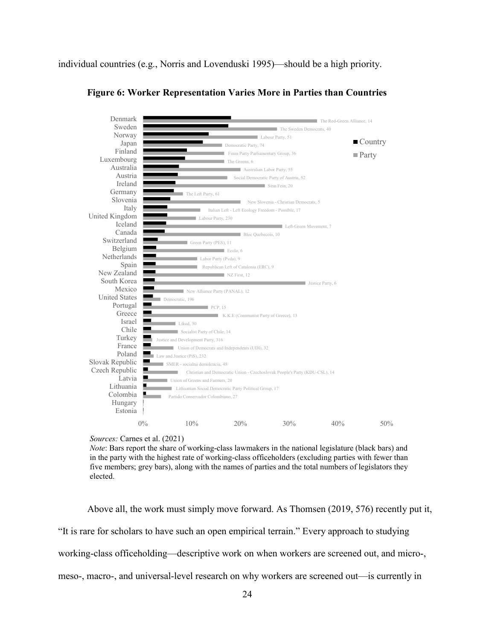individual countries (e.g., Norris and Lovenduski 1995)—should be a high priority.



**Figure 6: Worker Representation Varies More in Parties than Countries**

*Note*: Bars report the share of working-class lawmakers in the national legislature (black bars) and in the party with the highest rate of working-class officeholders (excluding parties with fewer than five members; grey bars), along with the names of parties and the total numbers of legislators they elected.

Above all, the work must simply move forward. As Thomsen (2019, 576) recently put it, "It is rare for scholars to have such an open empirical terrain." Every approach to studying working-class officeholding—descriptive work on when workers are screened out, and micro-, meso-, macro-, and universal-level research on why workers are screened out—is currently in

*Sources:* Carnes et al. (2021)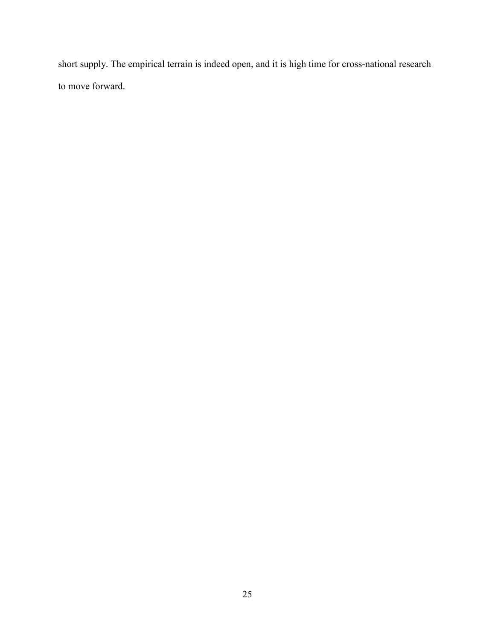short supply. The empirical terrain is indeed open, and it is high time for cross-national research to move forward.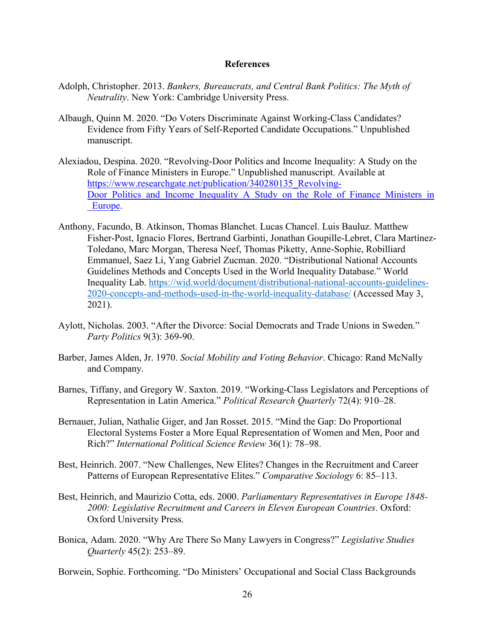### **References**

- Adolph, Christopher. 2013. *Bankers, Bureaucrats, and Central Bank Politics: The Myth of Neutrality*. New York: Cambridge University Press.
- Albaugh, Quinn M. 2020. "Do Voters Discriminate Against Working-Class Candidates? Evidence from Fifty Years of Self-Reported Candidate Occupations." Unpublished manuscript.
- Alexiadou, Despina. 2020. "Revolving-Door Politics and Income Inequality: A Study on the Role of Finance Ministers in Europe." Unpublished manuscript. Available at [https://www.researchgate.net/publication/340280135\\_Revolving-](https://www.researchgate.net/publication/340280135_Revolving-Door_Politics_and_Income_Inequality_A_Study_on_the_Role_of_Finance_Ministers_in_Europe)Door Politics and Income Inequality A Study on the Role of Finance Ministers in Europe.
- Anthony, Facundo, B. Atkinson, Thomas Blanchet. Lucas Chancel. Luis Bauluz. Matthew Fisher-Post, Ignacio Flores, Bertrand Garbinti, Jonathan Goupille-Lebret, Clara Martínez-Toledano, Marc Morgan, Theresa Neef, Thomas Piketty, Anne-Sophie, Robilliard Emmanuel, Saez Li, Yang Gabriel Zucman. 2020. "Distributional National Accounts Guidelines Methods and Concepts Used in the World Inequality Database." World Inequality Lab. [https://wid.world/document/distributional-national-accounts-guidelines-](https://wid.world/document/distributional-national-accounts-guidelines-2020-concepts-and-methods-used-in-the-world-inequality-database/)[2020-concepts-and-methods-used-in-the-world-inequality-database/](https://wid.world/document/distributional-national-accounts-guidelines-2020-concepts-and-methods-used-in-the-world-inequality-database/) (Accessed May 3, 2021).
- Aylott, Nicholas. 2003. "After the Divorce: Social Democrats and Trade Unions in Sweden." *Party Politics* 9(3): 369-90.
- Barber, James Alden, Jr. 1970. *Social Mobility and Voting Behavior*. Chicago: Rand McNally and Company.
- Barnes, Tiffany, and Gregory W. Saxton. 2019. "Working-Class Legislators and Perceptions of Representation in Latin America." *Political Research Quarterly* 72(4): 910–28.
- Bernauer, Julian, Nathalie Giger, and Jan Rosset. 2015. "Mind the Gap: Do Proportional Electoral Systems Foster a More Equal Representation of Women and Men, Poor and Rich?" *International Political Science Review* 36(1): 78–98.
- Best, Heinrich. 2007. "New Challenges, New Elites? Changes in the Recruitment and Career Patterns of European Representative Elites." *Comparative Sociology* 6: 85–113.
- Best, Heinrich, and Maurizio Cotta, eds. 2000. *Parliamentary Representatives in Europe 1848- 2000: Legislative Recruitment and Careers in Eleven European Countries*. Oxford: Oxford University Press.
- Bonica, Adam. 2020. "Why Are There So Many Lawyers in Congress?" *Legislative Studies Quarterly* 45(2): 253–89.
- Borwein, Sophie. Forthcoming. "Do Ministers' Occupational and Social Class Backgrounds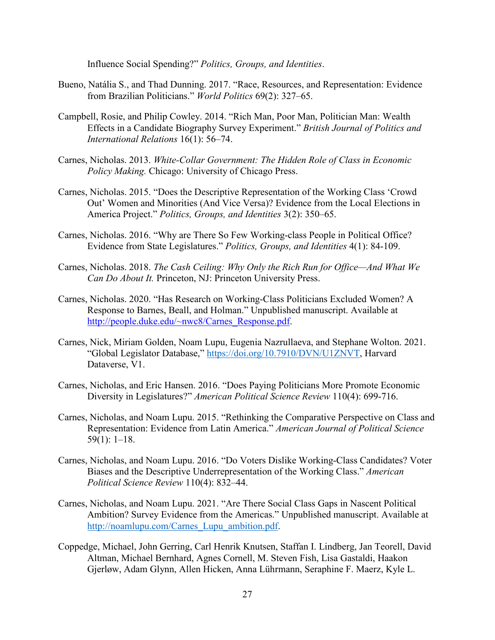Influence Social Spending?" *Politics, Groups, and Identities*.

- Bueno, Natália S., and Thad Dunning. 2017. "Race, Resources, and Representation: Evidence from Brazilian Politicians." *World Politics* 69(2): 327–65.
- Campbell, Rosie, and Philip Cowley. 2014. "Rich Man, Poor Man, Politician Man: Wealth Effects in a Candidate Biography Survey Experiment." *British Journal of Politics and International Relations* 16(1): 56–74.
- Carnes, Nicholas. 2013. *White-Collar Government: The Hidden Role of Class in Economic Policy Making.* Chicago: University of Chicago Press.
- Carnes, Nicholas. 2015. "Does the Descriptive Representation of the Working Class 'Crowd Out' Women and Minorities (And Vice Versa)? Evidence from the Local Elections in America Project." *Politics, Groups, and Identities* 3(2): 350–65.
- Carnes, Nicholas. 2016. "Why are There So Few Working-class People in Political Office? Evidence from State Legislatures." *Politics, Groups, and Identities* 4(1): 84-109.
- Carnes, Nicholas. 2018. *The Cash Ceiling: Why Only the Rich Run for Office—And What We Can Do About It.* Princeton, NJ: Princeton University Press.
- Carnes, Nicholas. 2020. "Has Research on Working-Class Politicians Excluded Women? A Response to Barnes, Beall, and Holman." Unpublished manuscript. Available at [http://people.duke.edu/~nwc8/Carnes\\_Response.pdf.](http://people.duke.edu/%7Enwc8/Carnes_Response.pdf)
- Carnes, Nick, Miriam Golden, Noam Lupu, Eugenia Nazrullaeva, and Stephane Wolton. 2021. "Global Legislator Database," [https://doi.org/10.7910/DVN/U1ZNVT,](https://doi.org/10.7910/DVN/U1ZNVT) Harvard Dataverse, V1.
- Carnes, Nicholas, and Eric Hansen. 2016. "Does Paying Politicians More Promote Economic Diversity in Legislatures?" *American Political Science Review* 110(4): 699-716.
- Carnes, Nicholas, and Noam Lupu. 2015. "Rethinking the Comparative Perspective on Class and Representation: Evidence from Latin America." *American Journal of Political Science* 59(1): 1–18.
- Carnes, Nicholas, and Noam Lupu. 2016. "Do Voters Dislike Working-Class Candidates? Voter Biases and the Descriptive Underrepresentation of the Working Class." *American Political Science Review* 110(4): 832–44.
- Carnes, Nicholas, and Noam Lupu. 2021. "Are There Social Class Gaps in Nascent Political Ambition? Survey Evidence from the Americas." Unpublished manuscript. Available at [http://noamlupu.com/Carnes\\_Lupu\\_ambition.pdf.](http://noamlupu.com/Carnes_Lupu_ambition.pdf)
- Coppedge, Michael, John Gerring, Carl Henrik Knutsen, Staffan I. Lindberg, Jan Teorell, David Altman, Michael Bernhard, Agnes Cornell, M. Steven Fish, Lisa Gastaldi, Haakon Gjerløw, Adam Glynn, Allen Hicken, Anna Lührmann, Seraphine F. Maerz, Kyle L.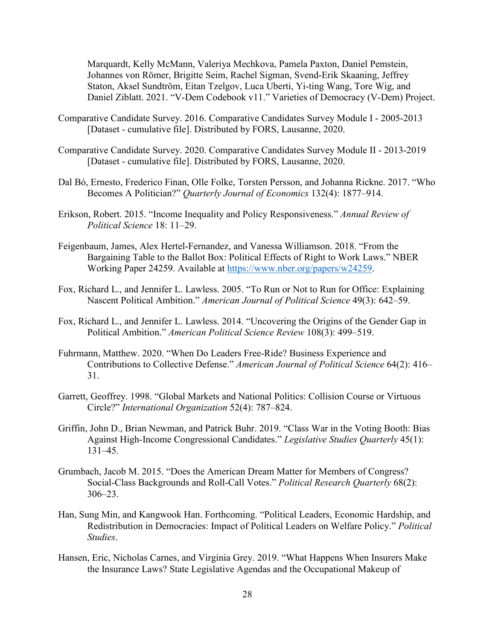Marquardt, Kelly McMann, Valeriya Mechkova, Pamela Paxton, Daniel Pemstein, Johannes von Römer, Brigitte Seim, Rachel Sigman, Svend-Erik Skaaning, Jeffrey Staton, Aksel Sundtröm, Eitan Tzelgov, Luca Uberti, Yi-ting Wang, Tore Wig, and Daniel Ziblatt. 2021. "V-Dem Codebook v11." Varieties of Democracy (V-Dem) Project.

- Comparative Candidate Survey. 2016. Comparative Candidates Survey Module I 2005-2013 [Dataset - cumulative file]. Distributed by FORS, Lausanne, 2020.
- Comparative Candidate Survey. 2020. Comparative Candidates Survey Module II 2013-2019 [Dataset - cumulative file]. Distributed by FORS, Lausanne, 2020.
- Dal Bó, Ernesto, Frederico Finan, Olle Folke, Torsten Persson, and Johanna Rickne. 2017. "Who Becomes A Politician?" *Quarterly Journal of Economics* 132(4): 1877–914.
- Erikson, Robert. 2015. "Income Inequality and Policy Responsiveness." *Annual Review of Political Science* 18: 11–29.
- Feigenbaum, James, Alex Hertel-Fernandez, and Vanessa Williamson. 2018. "From the Bargaining Table to the Ballot Box: Political Effects of Right to Work Laws." NBER Working Paper 24259. Available at [https://www.nber.org/papers/w24259.](https://www.nber.org/papers/w24259)
- Fox, Richard L., and Jennifer L. Lawless. 2005. "To Run or Not to Run for Office: Explaining Nascent Political Ambition." *American Journal of Political Science* 49(3): 642–59.
- Fox, Richard L., and Jennifer L. Lawless. 2014. "Uncovering the Origins of the Gender Gap in Political Ambition." *American Political Science Review* 108(3): 499–519.
- Fuhrmann, Matthew. 2020. "When Do Leaders Free-Ride? Business Experience and Contributions to Collective Defense." *American Journal of Political Science* 64(2): 416– 31.
- Garrett, Geoffrey. 1998. "Global Markets and National Politics: Collision Course or Virtuous Circle?" *International Organization* 52(4): 787–824.
- Griffin, John D., Brian Newman, and Patrick Buhr. 2019. "Class War in the Voting Booth: Bias Against High‐Income Congressional Candidates." *Legislative Studies Quarterly* 45(1): 131–45.
- Grumbach, Jacob M. 2015. "Does the American Dream Matter for Members of Congress? Social-Class Backgrounds and Roll-Call Votes." *Political Research Quarterly* 68(2): 306–23.
- Han, Sung Min, and Kangwook Han. Forthcoming. "Political Leaders, Economic Hardship, and Redistribution in Democracies: Impact of Political Leaders on Welfare Policy." *Political Studies*.
- Hansen, Eric, Nicholas Carnes, and Virginia Grey. 2019. "What Happens When Insurers Make the Insurance Laws? State Legislative Agendas and the Occupational Makeup of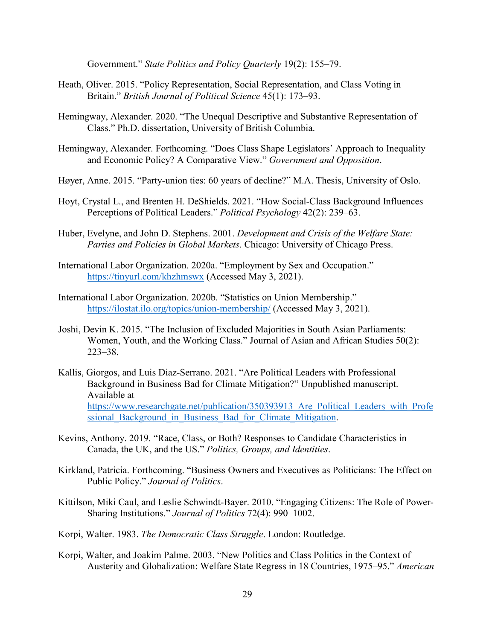Government." *State Politics and Policy Quarterly* 19(2): 155–79.

- Heath, Oliver. 2015. "Policy Representation, Social Representation, and Class Voting in Britain." *British Journal of Political Science* 45(1): 173–93.
- Hemingway, Alexander. 2020. "The Unequal Descriptive and Substantive Representation of Class." Ph.D. dissertation, University of British Columbia.
- Hemingway, Alexander. Forthcoming. "Does Class Shape Legislators' Approach to Inequality and Economic Policy? A Comparative View." *Government and Opposition*.
- Høyer, Anne. 2015. "Party-union ties: 60 years of decline?" M.A. Thesis, University of Oslo.
- Hoyt, Crystal L., and Brenten H. DeShields. 2021. "How Social-Class Background Influences Perceptions of Political Leaders." *Political Psychology* 42(2): 239–63.
- Huber, Evelyne, and John D. Stephens. 2001. *Development and Crisis of the Welfare State: Parties and Policies in Global Markets*. Chicago: University of Chicago Press.
- International Labor Organization. 2020a. "Employment by Sex and Occupation." <https://tinyurl.com/khzhmswx> (Accessed May 3, 2021).
- International Labor Organization. 2020b. "Statistics on Union Membership." <https://ilostat.ilo.org/topics/union-membership/> (Accessed May 3, 2021).
- Joshi, Devin K. 2015. "The Inclusion of Excluded Majorities in South Asian Parliaments: Women, Youth, and the Working Class." Journal of Asian and African Studies 50(2): 223–38.
- Kallis, Giorgos, and Luis Diaz-Serrano. 2021. "Are Political Leaders with Professional Background in Business Bad for Climate Mitigation?" Unpublished manuscript. Available at [https://www.researchgate.net/publication/350393913\\_Are\\_Political\\_Leaders\\_with\\_Profe](https://www.researchgate.net/publication/350393913_Are_Political_Leaders_with_Professional_Background_in_Business_Bad_for_Climate_Mitigation) ssional Background in Business Bad for Climate Mitigation.
- Kevins, Anthony. 2019. "Race, Class, or Both? Responses to Candidate Characteristics in Canada, the UK, and the US." *Politics, Groups, and Identities*.
- Kirkland, Patricia. Forthcoming. "Business Owners and Executives as Politicians: The Effect on Public Policy." *Journal of Politics*.
- Kittilson, Miki Caul, and Leslie Schwindt-Bayer. 2010. "Engaging Citizens: The Role of Power-Sharing Institutions." *Journal of Politics* 72(4): 990–1002.
- Korpi, Walter. 1983. *The Democratic Class Struggle*. London: Routledge.
- Korpi, Walter, and Joakim Palme. 2003. "New Politics and Class Politics in the Context of Austerity and Globalization: Welfare State Regress in 18 Countries, 1975–95." *American*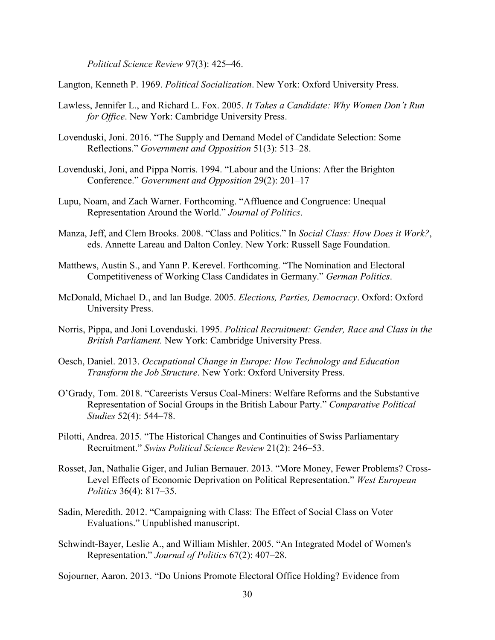*Political Science Review* 97(3): 425–46.

Langton, Kenneth P. 1969. *Political Socialization*. New York: Oxford University Press.

- Lawless, Jennifer L., and Richard L. Fox. 2005. *It Takes a Candidate: Why Women Don't Run for Office*. New York: Cambridge University Press.
- Lovenduski, Joni. 2016. "The Supply and Demand Model of Candidate Selection: Some Reflections." *Government and Opposition* 51(3): 513–28.
- Lovenduski, Joni, and Pippa Norris. 1994. "Labour and the Unions: After the Brighton Conference." *Government and Opposition* 29(2): 201–17
- Lupu, Noam, and Zach Warner. Forthcoming. "Affluence and Congruence: Unequal Representation Around the World." *Journal of Politics*.
- Manza, Jeff, and Clem Brooks. 2008. "Class and Politics." In *Social Class: How Does it Work?*, eds. Annette Lareau and Dalton Conley. New York: Russell Sage Foundation.
- Matthews, Austin S., and Yann P. Kerevel. Forthcoming. "The Nomination and Electoral Competitiveness of Working Class Candidates in Germany." *German Politics*.
- McDonald, Michael D., and Ian Budge. 2005. *Elections, Parties, Democracy*. Oxford: Oxford University Press.
- Norris, Pippa, and Joni Lovenduski. 1995. *Political Recruitment: Gender, Race and Class in the British Parliament.* New York: Cambridge University Press.
- Oesch, Daniel. 2013. *Occupational Change in Europe: How Technology and Education Transform the Job Structure*. New York: Oxford University Press.
- O'Grady, Tom. 2018. "Careerists Versus Coal-Miners: Welfare Reforms and the Substantive Representation of Social Groups in the British Labour Party." *Comparative Political Studies* 52(4): 544–78.
- Pilotti, Andrea. 2015. "The Historical Changes and Continuities of Swiss Parliamentary Recruitment." *Swiss Political Science Review* 21(2): 246–53.
- Rosset, Jan, Nathalie Giger, and Julian Bernauer. 2013. "More Money, Fewer Problems? Cross-Level Effects of Economic Deprivation on Political Representation." *West European Politics* 36(4): 817–35.
- Sadin, Meredith. 2012. "Campaigning with Class: The Effect of Social Class on Voter Evaluations." Unpublished manuscript.
- Schwindt-Bayer, Leslie A., and William Mishler. 2005. "An Integrated Model of Women's Representation." *Journal of Politics* 67(2): 407–28.

Sojourner, Aaron. 2013. "Do Unions Promote Electoral Office Holding? Evidence from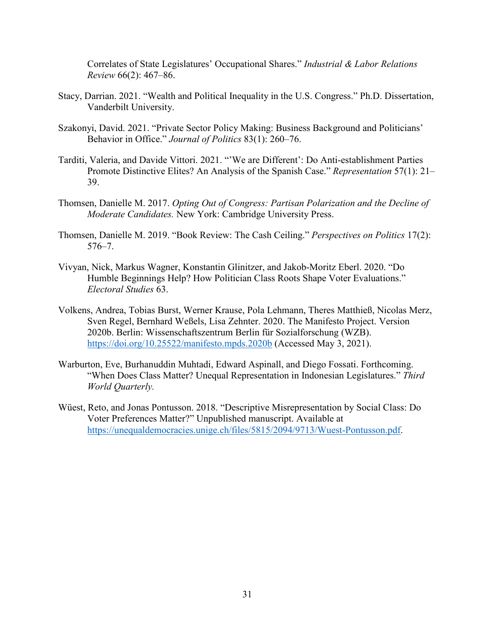Correlates of State Legislatures' Occupational Shares." *Industrial & Labor Relations Review* 66(2): 467–86.

- Stacy, Darrian. 2021. "Wealth and Political Inequality in the U.S. Congress." Ph.D. Dissertation, Vanderbilt University.
- Szakonyi, David. 2021. "Private Sector Policy Making: Business Background and Politicians' Behavior in Office." *Journal of Politics* 83(1): 260–76.
- Tarditi, Valeria, and Davide Vittori. 2021. "'We are Different': Do Anti-establishment Parties Promote Distinctive Elites? An Analysis of the Spanish Case." *Representation* 57(1): 21– 39.
- Thomsen, Danielle M. 2017. *Opting Out of Congress: Partisan Polarization and the Decline of Moderate Candidates.* New York: Cambridge University Press.
- Thomsen, Danielle M. 2019. "Book Review: The Cash Ceiling." *Perspectives on Politics* 17(2): 576–7.
- Vivyan, Nick, Markus Wagner, Konstantin Glinitzer, and Jakob-Moritz Eberl. 2020. "Do Humble Beginnings Help? How Politician Class Roots Shape Voter Evaluations." *Electoral Studies* 63.
- Volkens, Andrea, Tobias Burst, Werner Krause, Pola Lehmann, Theres Matthieß, Nicolas Merz, Sven Regel, Bernhard Weßels, Lisa Zehnter. 2020. The Manifesto Project. Version 2020b. Berlin: Wissenschaftszentrum Berlin für Sozialforschung (WZB). <https://doi.org/10.25522/manifesto.mpds.2020b> (Accessed May 3, 2021).
- Warburton, Eve, Burhanuddin Muhtadi, Edward Aspinall, and Diego Fossati. Forthcoming. "When Does Class Matter? Unequal Representation in Indonesian Legislatures." *Third World Quarterly.*
- Wüest, Reto, and Jonas Pontusson. 2018. "Descriptive Misrepresentation by Social Class: Do Voter Preferences Matter?" Unpublished manuscript. Available at [https://unequaldemocracies.unige.ch/files/5815/2094/9713/Wuest-Pontusson.pdf.](https://unequaldemocracies.unige.ch/files/5815/2094/9713/Wuest-Pontusson.pdf)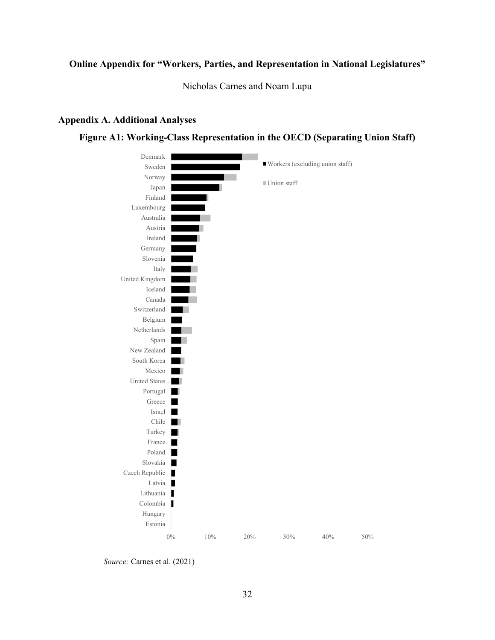# **Online Appendix for "Workers, Parties, and Representation in National Legislatures"**

Nicholas Carnes and Noam Lupu

#### **Appendix A. Additional Analyses**

### **Figure A1: Working-Class Representation in the OECD (Separating Union Staff)**



*Source:* Carnes et al. (2021)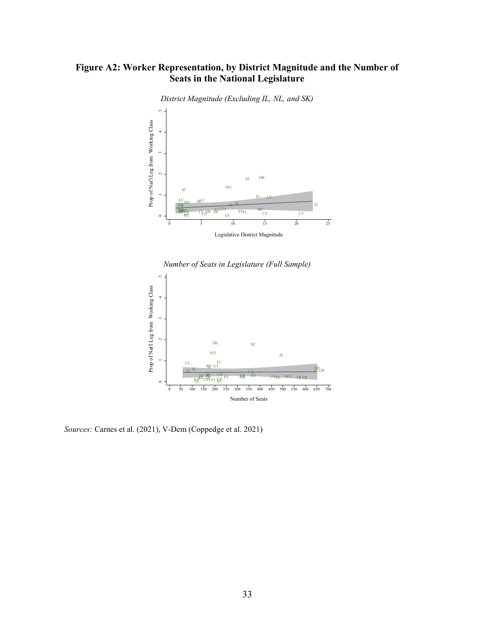# **Figure A2: Worker Representation, by District Magnitude and the Number of Seats in the National Legislature**



*District Magnitude (Excluding IL, NL, and SK)*





*Sources:* Carnes et al. (2021), V-Dem (Coppedge et al. 2021)